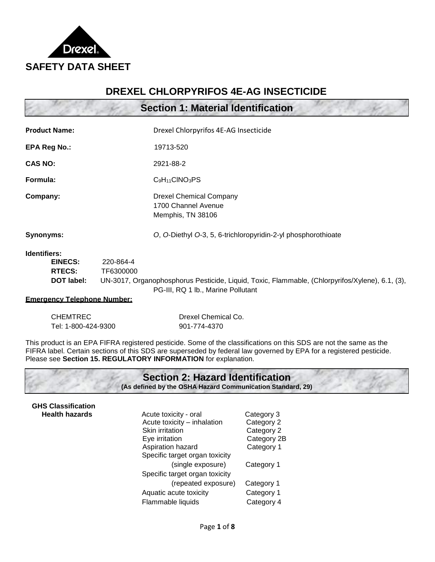

## **DREXEL CHLORPYRIFOS 4E-AG INSECTICIDE**

**Section 1: Material Identification**

| <b>Product Name:</b>    |           | Drexel Chlorpyrifos 4E-AG Insecticide                                      |
|-------------------------|-----------|----------------------------------------------------------------------------|
| <b>EPA Reg No.:</b>     |           | 19713-520                                                                  |
| <b>CAS NO:</b>          |           | 2921-88-2                                                                  |
| Formula:                |           | $C_9H_{11}CINO_3PS$                                                        |
| Company:                |           | <b>Drexel Chemical Company</b><br>1700 Channel Avenue<br>Memphis, TN 38106 |
| Synonyms:               |           | O, O-Diethyl O-3, 5, 6-trichloropyridin-2-yl phosphorothioate              |
| Identifiers:<br>EINECS: | 220-864-4 |                                                                            |

| <b>EINECS:</b> | 220-864-4                                                                                       |
|----------------|-------------------------------------------------------------------------------------------------|
| RTECS:         | TF6300000                                                                                       |
| DOT label:     | UN-3017, Organophosphorus Pesticide, Liquid, Toxic, Flammable, (Chlorpyrifos/Xylene), 6.1, (3), |
|                | PG-III, RQ 1 lb., Marine Pollutant                                                              |

#### **Emergency Telephone Number:**

| <b>CHEMTREC</b>     | Drexel Chemical Co. |
|---------------------|---------------------|
| Tel: 1-800-424-9300 | 901-774-4370        |

This product is an EPA FIFRA registered pesticide. Some of the classifications on this SDS are not the same as the FIFRA label. Certain sections of this SDS are superseded by federal law governed by EPA for a registered pesticide. Please see **Section 15. REGULATORY INFORMATION** for explanation.

|                           | <b>Section 2: Hazard Identification</b><br>(As defined by the OSHA Hazard Communication Standard, 29) |             |
|---------------------------|-------------------------------------------------------------------------------------------------------|-------------|
| <b>GHS Classification</b> |                                                                                                       |             |
| <b>Health hazards</b>     | Acute toxicity - oral                                                                                 | Category 3  |
|                           | Acute toxicity - inhalation                                                                           | Category 2  |
|                           | Skin irritation                                                                                       | Category 2  |
|                           | Eye irritation                                                                                        | Category 2B |
|                           | Aspiration hazard                                                                                     | Category 1  |
|                           | Specific target organ toxicity                                                                        |             |
|                           | (single exposure)                                                                                     | Category 1  |
|                           | Specific target organ toxicity                                                                        |             |
|                           | (repeated exposure)                                                                                   | Category 1  |

Aquatic acute toxicity **Category 1** Flammable liquids Category 4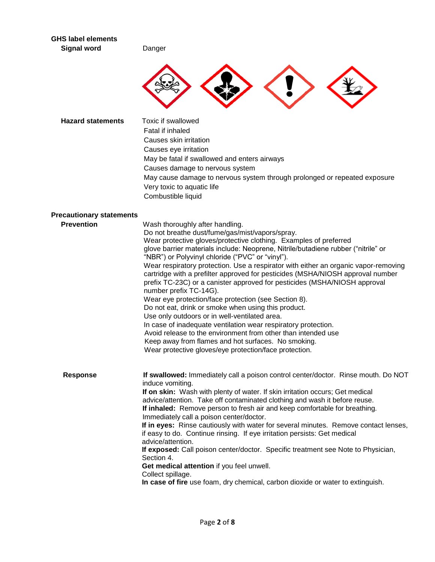| <b>GHS label elements</b><br><b>Signal word</b> | Danger                                                                                                                                                                                                                                                                                                                                                                                                                                                                                                                                                                                                                                                                                                                                                                                                                                                                                                                                                                                               |
|-------------------------------------------------|------------------------------------------------------------------------------------------------------------------------------------------------------------------------------------------------------------------------------------------------------------------------------------------------------------------------------------------------------------------------------------------------------------------------------------------------------------------------------------------------------------------------------------------------------------------------------------------------------------------------------------------------------------------------------------------------------------------------------------------------------------------------------------------------------------------------------------------------------------------------------------------------------------------------------------------------------------------------------------------------------|
|                                                 |                                                                                                                                                                                                                                                                                                                                                                                                                                                                                                                                                                                                                                                                                                                                                                                                                                                                                                                                                                                                      |
| <b>Hazard statements</b>                        | Toxic if swallowed<br>Fatal if inhaled<br>Causes skin irritation<br>Causes eye irritation<br>May be fatal if swallowed and enters airways<br>Causes damage to nervous system<br>May cause damage to nervous system through prolonged or repeated exposure<br>Very toxic to aquatic life<br>Combustible liquid                                                                                                                                                                                                                                                                                                                                                                                                                                                                                                                                                                                                                                                                                        |
| <b>Precautionary statements</b>                 |                                                                                                                                                                                                                                                                                                                                                                                                                                                                                                                                                                                                                                                                                                                                                                                                                                                                                                                                                                                                      |
| <b>Prevention</b>                               | Wash thoroughly after handling.<br>Do not breathe dust/fume/gas/mist/vapors/spray.<br>Wear protective gloves/protective clothing. Examples of preferred<br>glove barrier materials include: Neoprene, Nitrile/butadiene rubber ("nitrile" or<br>"NBR") or Polyvinyl chloride ("PVC" or "vinyl").<br>Wear respiratory protection. Use a respirator with either an organic vapor-removing<br>cartridge with a prefilter approved for pesticides (MSHA/NIOSH approval number<br>prefix TC-23C) or a canister approved for pesticides (MSHA/NIOSH approval<br>number prefix TC-14G).<br>Wear eye protection/face protection (see Section 8).<br>Do not eat, drink or smoke when using this product.<br>Use only outdoors or in well-ventilated area.<br>In case of inadequate ventilation wear respiratory protection.<br>Avoid release to the environment from other than intended use<br>Keep away from flames and hot surfaces. No smoking.<br>Wear protective gloves/eye protection/face protection. |
| <b>Response</b>                                 | If swallowed: Immediately call a poison control center/doctor. Rinse mouth. Do NOT<br>induce vomiting.<br>If on skin: Wash with plenty of water. If skin irritation occurs; Get medical<br>advice/attention. Take off contaminated clothing and wash it before reuse.<br>If inhaled: Remove person to fresh air and keep comfortable for breathing.<br>Immediately call a poison center/doctor.<br>If in eyes: Rinse cautiously with water for several minutes. Remove contact lenses,<br>if easy to do. Continue rinsing. If eye irritation persists: Get medical<br>advice/attention.<br>If exposed: Call poison center/doctor. Specific treatment see Note to Physician,<br>Section 4.<br>Get medical attention if you feel unwell.<br>Collect spillage.<br>In case of fire use foam, dry chemical, carbon dioxide or water to extinguish.                                                                                                                                                        |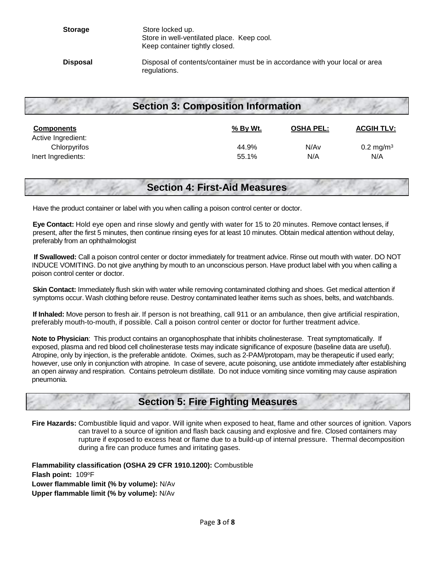# **Section 3: Composition Information**

| <b>Components</b><br>Active Ingredient: | % By Wt. | <b>OSHA PEL:</b> | <b>ACGIH TLV:</b>       |
|-----------------------------------------|----------|------------------|-------------------------|
| Chlorpyrifos                            | 44.9%    | N/A <sub>v</sub> | $0.2 \,\mathrm{mg/m^3}$ |
| Inert Ingredients:                      | 55.1%    | N/A              | N/A                     |

## **Section 4: First-Aid Measures**

Have the product container or label with you when calling a poison control center or doctor.

 **Eye Contact:** Hold eye open and rinse slowly and gently with water for 15 to 20 minutes. Remove contact lenses, if present, after the first 5 minutes, then continue rinsing eyes for at least 10 minutes. Obtain medical attention without delay, preferably from an ophthalmologist

**If Swallowed:** Call a poison control center or doctor immediately for treatment advice. Rinse out mouth with water. DO NOT INDUCE VOMITING. Do not give anything by mouth to an unconscious person. Have product label with you when calling a poison control center or doctor.

 **Skin Contact:** Immediately flush skin with water while removing contaminated clothing and shoes. Get medical attention if symptoms occur. Wash clothing before reuse. Destroy contaminated leather items such as shoes, belts, and watchbands.

 **If Inhaled:** Move person to fresh air. If person is not breathing, call 911 or an ambulance, then give artificial respiration, preferably mouth-to-mouth, if possible. Call a poison control center or doctor for further treatment advice.

**Note to Physician**: This product contains an organophosphate that inhibits cholinesterase. Treat symptomatically. If exposed, plasma and red blood cell cholinesterase tests may indicate significance of exposure (baseline data are useful). Atropine, only by injection, is the preferable antidote. Oximes, such as 2-PAM/protopam, may be therapeutic if used early; however, use only in conjunction with atropine. In case of severe, acute poisoning, use antidote immediately after establishing an open airway and respiration. Contains petroleum distillate. Do not induce vomiting since vomiting may cause aspiration pneumonia.

# **Section 5: Fire Fighting Measures**

**Fire Hazards:** Combustible liquid and vapor. Will ignite when exposed to heat, flame and other sources of ignition. Vapors can travel to a source of ignition and flash back causing and explosive and fire. Closed containers may rupture if exposed to excess heat or flame due to a build-up of internal pressure. Thermal decomposition during a fire can produce fumes and irritating gases.

**Flammability classification (OSHA 29 CFR 1910.1200):** Combustible **Flash point: 109°F Lower flammable limit (% by volume):** N/Av **Upper flammable limit (% by volume):** N/Av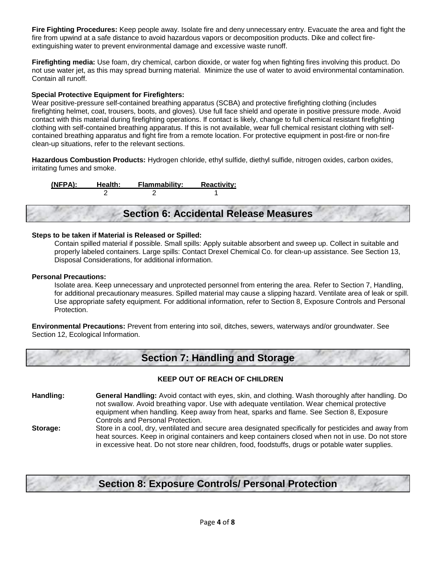**Fire Fighting Procedures:** Keep people away. Isolate fire and deny unnecessary entry. Evacuate the area and fight the fire from upwind at a safe distance to avoid hazardous vapors or decomposition products. Dike and collect fireextinguishing water to prevent environmental damage and excessive waste runoff.

**Firefighting media:** Use foam, dry chemical, carbon dioxide, or water fog when fighting fires involving this product. Do not use water jet, as this may spread burning material. Minimize the use of water to avoid environmental contamination. Contain all runoff.

#### **Special Protective Equipment for Firefighters:**

Wear positive-pressure self-contained breathing apparatus (SCBA) and protective firefighting clothing (includes firefighting helmet, coat, trousers, boots, and gloves). Use full face shield and operate in positive pressure mode. Avoid contact with this material during firefighting operations. If contact is likely, change to full chemical resistant firefighting clothing with self-contained breathing apparatus. If this is not available, wear full chemical resistant clothing with selfcontained breathing apparatus and fight fire from a remote location. For protective equipment in post-fire or non-fire clean-up situations, refer to the relevant sections.

**Hazardous Combustion Products:** Hydrogen chloride, ethyl sulfide, diethyl sulfide, nitrogen oxides, carbon oxides, irritating fumes and smoke.

**(NFPA): Health: Flammability: Reactivity:** 2 2 1

# **Section 6: Accidental Release Measures**

#### **Steps to be taken if Material is Released or Spilled:**

Contain spilled material if possible. Small spills: Apply suitable absorbent and sweep up. Collect in suitable and properly labeled containers. Large spills: Contact Drexel Chemical Co. for clean-up assistance. See Section 13, Disposal Considerations, for additional information.

#### **Personal Precautions:**

Isolate area. Keep unnecessary and unprotected personnel from entering the area. Refer to Section 7, Handling, for additional precautionary measures. Spilled material may cause a slipping hazard. Ventilate area of leak or spill. Use appropriate safety equipment. For additional information, refer to Section 8, Exposure Controls and Personal Protection.

**Environmental Precautions:** Prevent from entering into soil, ditches, sewers, waterways and/or groundwater. See Section 12, Ecological Information.

# **Section 7: Handling and Storage**

#### **KEEP OUT OF REACH OF CHILDREN**

**Handling: General Handling:** Avoid contact with eyes, skin, and clothing. Wash thoroughly after handling. Do not swallow. Avoid breathing vapor. Use with adequate ventilation. Wear chemical protective equipment when handling. Keep away from heat, sparks and flame. See Section 8, Exposure Controls and Personal Protection.

**Storage:** Store in a cool, dry, ventilated and secure area designated specifically for pesticides and away from heat sources. Keep in original containers and keep containers closed when not in use. Do not store in excessive heat. Do not store near children, food, foodstuffs, drugs or potable water supplies.

# **Section 8: Exposure Controls/ Personal Protection**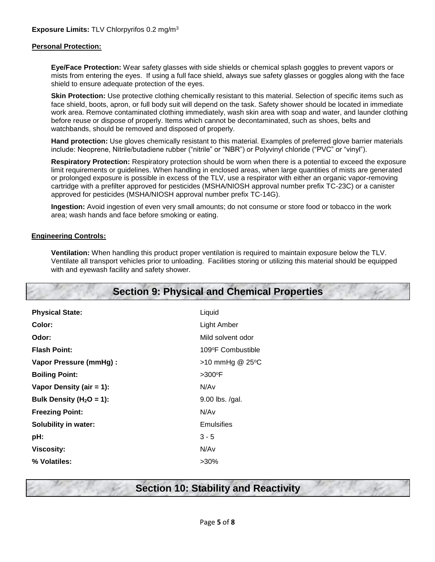#### **Personal Protection:**

**Eye/Face Protection:** Wear safety glasses with side shields or chemical splash goggles to prevent vapors or mists from entering the eyes. If using a full face shield, always sue safety glasses or goggles along with the face shield to ensure adequate protection of the eyes.

**Skin Protection:** Use protective clothing chemically resistant to this material. Selection of specific items such as face shield, boots, apron, or full body suit will depend on the task. Safety shower should be located in immediate work area. Remove contaminated clothing immediately, wash skin area with soap and water, and launder clothing before reuse or dispose of properly. Items which cannot be decontaminated, such as shoes, belts and watchbands, should be removed and disposed of properly.

**Hand protection:** Use gloves chemically resistant to this material. Examples of preferred glove barrier materials include: Neoprene, Nitrile/butadiene rubber ("nitrile" or "NBR") or Polyvinyl chloride ("PVC" or "vinyl").

**Respiratory Protection:** Respiratory protection should be worn when there is a potential to exceed the exposure limit requirements or guidelines. When handling in enclosed areas, when large quantities of mists are generated or prolonged exposure is possible in excess of the TLV, use a respirator with either an organic vapor-removing cartridge with a prefilter approved for pesticides (MSHA/NIOSH approval number prefix TC-23C) or a canister approved for pesticides (MSHA/NIOSH approval number prefix TC-14G).

**Ingestion:** Avoid ingestion of even very small amounts; do not consume or store food or tobacco in the work area; wash hands and face before smoking or eating.

#### **Engineering Controls:**

**Ventilation:** When handling this product proper ventilation is required to maintain exposure below the TLV. Ventilate all transport vehicles prior to unloading. Facilities storing or utilizing this material should be equipped with and eyewash facility and safety shower.

## **Section 9: Physical and Chemical Properties**

| <b>Physical State:</b>        | Liquid             |
|-------------------------------|--------------------|
| Color:                        | <b>Light Amber</b> |
| Odor:                         | Mild solvent odor  |
| <b>Flash Point:</b>           | 109°F Combustible  |
| <b>Vapor Pressure (mmHg):</b> | $>10$ mmHg @ 25°C  |
| <b>Boiling Point:</b>         | $>300^\circ F$     |
| Vapor Density (air = $1$ ):   | N/Av               |
| Bulk Density ( $H_2O = 1$ ):  | 9.00 lbs. /gal.    |
| <b>Freezing Point:</b>        | N/Av               |
| <b>Solubility in water:</b>   | <b>Emulsifies</b>  |
| pH:                           | $3 - 5$            |
| <b>Viscosity:</b>             | N/Av               |
| % Volatiles:                  | $>30\%$            |

## **Section 10: Stability and Reactivity**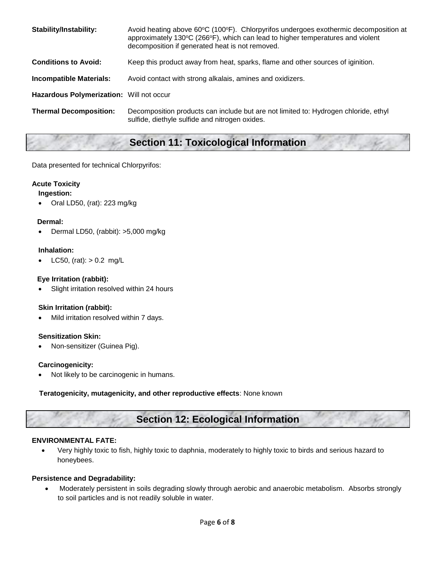| <b>Stability/Instability:</b>            | Avoid heating above $60^{\circ}C$ (100 $^{\circ}F$ ). Chlorpyrifos undergoes exothermic decomposition at<br>approximately 130°C (266°F), which can lead to higher temperatures and violent<br>decomposition if generated heat is not removed. |
|------------------------------------------|-----------------------------------------------------------------------------------------------------------------------------------------------------------------------------------------------------------------------------------------------|
| <b>Conditions to Avoid:</b>              | Keep this product away from heat, sparks, flame and other sources of iginition.                                                                                                                                                               |
| <b>Incompatible Materials:</b>           | Avoid contact with strong alkalais, amines and oxidizers.                                                                                                                                                                                     |
| Hazardous Polymerization: Will not occur |                                                                                                                                                                                                                                               |
| <b>Thermal Decomposition:</b>            | Decomposition products can include but are not limited to: Hydrogen chloride, ethyl<br>sulfide, diethyle sulfide and nitrogen oxides.                                                                                                         |

# **Section 11: Toxicological Information**

Data presented for technical Chlorpyrifos:

### **Acute Toxicity**

### **Ingestion:**

Oral LD50, (rat): 223 mg/kg

#### **Dermal:**

Dermal LD50, (rabbit): >5,000 mg/kg

#### **Inhalation:**

LC50, (rat):  $> 0.2$  mg/L

#### **Eye Irritation (rabbit):**

Slight irritation resolved within 24 hours

#### **Skin Irritation (rabbit):**

Mild irritation resolved within 7 days.

#### **Sensitization Skin:**

Non-sensitizer (Guinea Pig).

#### **Carcinogenicity:**

Not likely to be carcinogenic in humans.

#### **Teratogenicity, mutagenicity, and other reproductive effects**: None known

# **Section 12: Ecological Information**

#### **ENVIRONMENTAL FATE:**

 Very highly toxic to fish, highly toxic to daphnia, moderately to highly toxic to birds and serious hazard to honeybees.

#### **Persistence and Degradability:**

 Moderately persistent in soils degrading slowly through aerobic and anaerobic metabolism. Absorbs strongly to soil particles and is not readily soluble in water.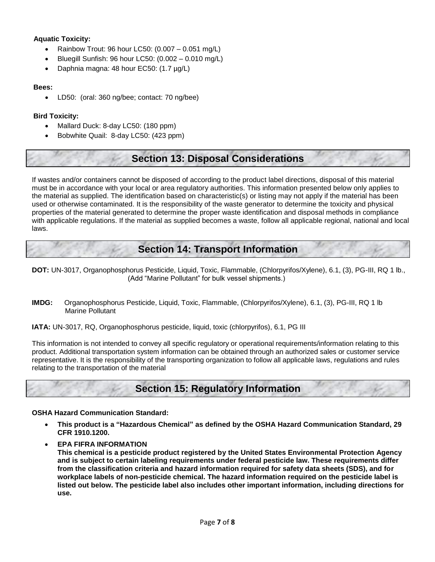### **Aquatic Toxicity:**

- Rainbow Trout: 96 hour LC50: (0.007 0.051 mg/L)
- Bluegill Sunfish: 96 hour LC50: (0.002 0.010 mg/L)
- Daphnia magna: 48 hour EC50: (1.7 µg/L)

#### **Bees:**

LD50: (oral: 360 ng/bee; contact: 70 ng/bee)

### **Bird Toxicity:**

- Mallard Duck: 8-day LC50: (180 ppm)
- Bobwhite Quail: 8-day LC50: (423 ppm)

## **Section 13: Disposal Considerations**

If wastes and/or containers cannot be disposed of according to the product label directions, disposal of this material must be in accordance with your local or area regulatory authorities. This information presented below only applies to the material as supplied. The identification based on characteristic(s) or listing may not apply if the material has been used or otherwise contaminated. It is the responsibility of the waste generator to determine the toxicity and physical properties of the material generated to determine the proper waste identification and disposal methods in compliance with applicable regulations. If the material as supplied becomes a waste, follow all applicable regional, national and local laws.

## **Section 14: Transport Information**

**DOT:** UN-3017, Organophosphorus Pesticide, Liquid, Toxic, Flammable, (Chlorpyrifos/Xylene), 6.1, (3), PG-III, RQ 1 lb., (Add "Marine Pollutant" for bulk vessel shipments.)

**IMDG:** Organophosphorus Pesticide, Liquid, Toxic, Flammable, (Chlorpyrifos/Xylene), 6.1, (3), PG-III, RQ 1 lb Marine Pollutant

**IATA:** UN-3017, RQ, Organophosphorus pesticide, liquid, toxic (chlorpyrifos), 6.1, PG III

This information is not intended to convey all specific regulatory or operational requirements/information relating to this product. Additional transportation system information can be obtained through an authorized sales or customer service representative. It is the responsibility of the transporting organization to follow all applicable laws, regulations and rules relating to the transportation of the material

# **Section 15: Regulatory Information**

**OSHA Hazard Communication Standard:**

- **This product is a "Hazardous Chemical" as defined by the OSHA Hazard Communication Standard, 29 CFR 1910.1200.**
- **EPA FIFRA INFORMATION**

**This chemical is a pesticide product registered by the United States Environmental Protection Agency and is subject to certain labeling requirements under federal pesticide law. These requirements differ from the classification criteria and hazard information required for safety data sheets (SDS), and for workplace labels of non-pesticide chemical. The hazard information required on the pesticide label is listed out below. The pesticide label also includes other important information, including directions for use.**